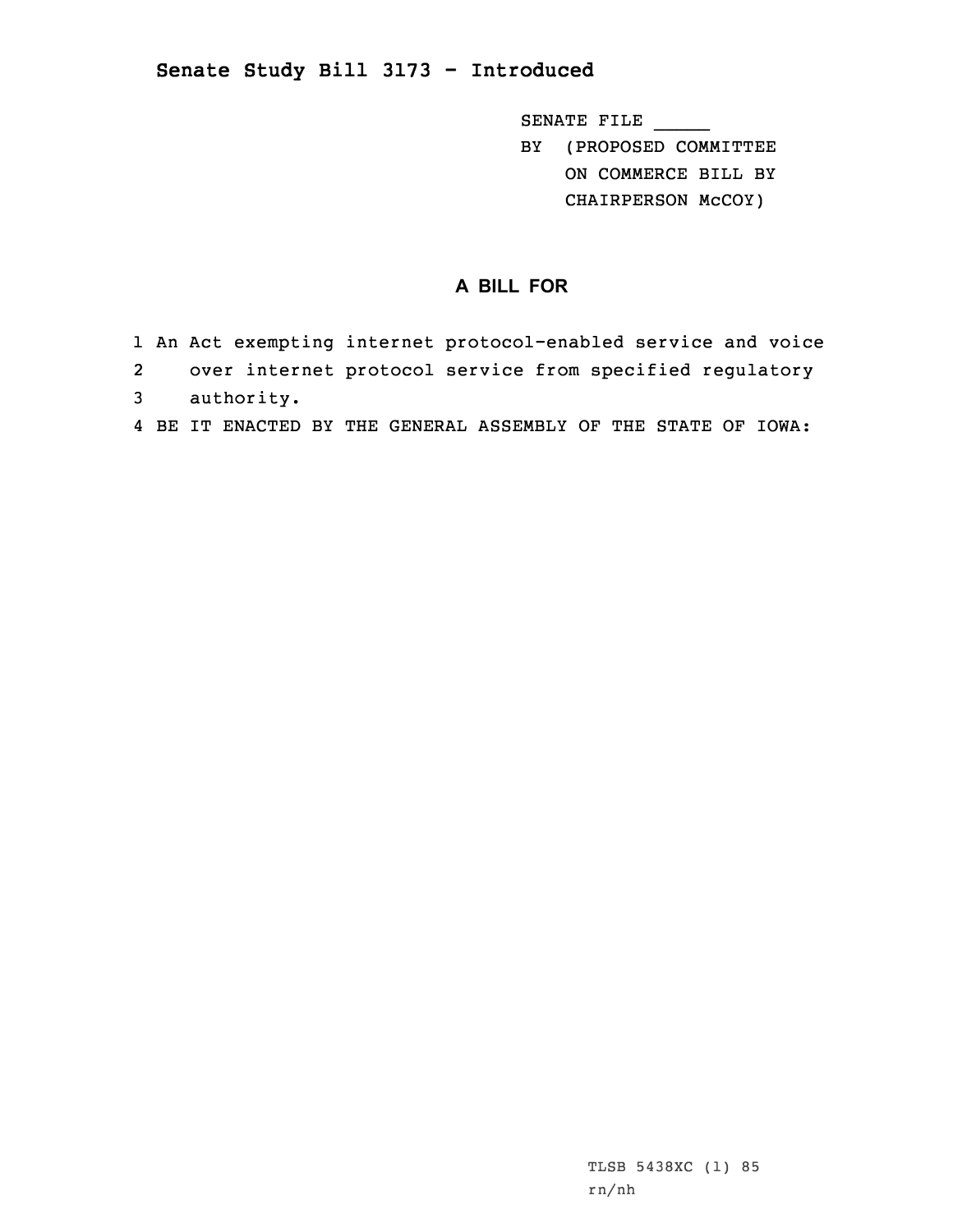## **Senate Study Bill 3173 - Introduced**

SENATE FILE \_\_\_\_\_

BY (PROPOSED COMMITTEE ON COMMERCE BILL BY

CHAIRPERSON McCOY)

## **A BILL FOR**

- 1 An Act exempting internet protocol-enabled service and voice
- 2 over internet protocol service from specified regulatory
- 3 authority.
- 4 BE IT ENACTED BY THE GENERAL ASSEMBLY OF THE STATE OF IOWA: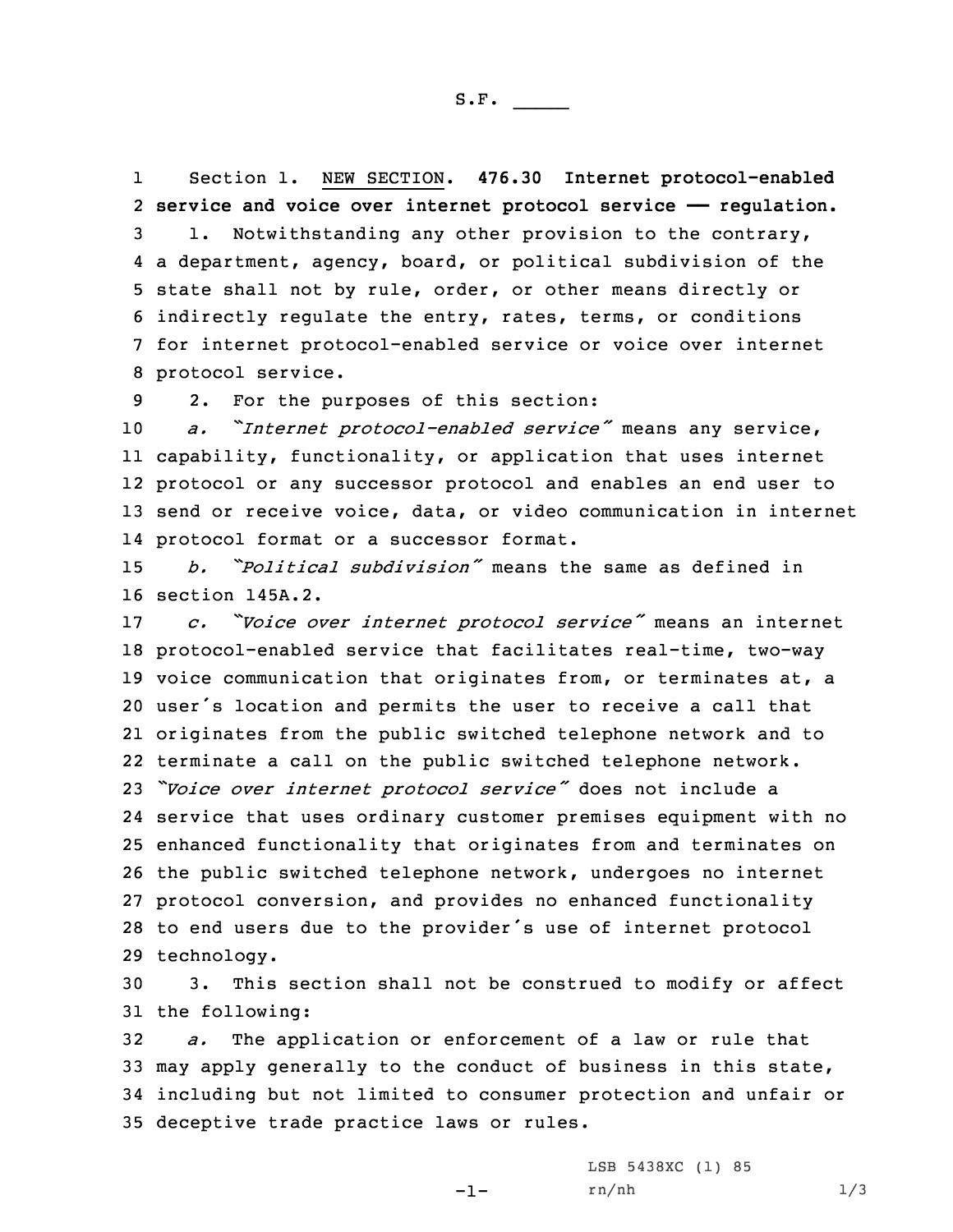1 Section 1. NEW SECTION. **476.30 Internet protocol-enabled service and voice over internet protocol service —— regulation.** 1. Notwithstanding any other provision to the contrary, <sup>a</sup> department, agency, board, or political subdivision of the state shall not by rule, order, or other means directly or indirectly regulate the entry, rates, terms, or conditions for internet protocol-enabled service or voice over internet protocol service.

9 2. For the purposes of this section:

 *a. "Internet protocol-enabled service"* means any service, capability, functionality, or application that uses internet protocol or any successor protocol and enables an end user to send or receive voice, data, or video communication in internet protocol format or <sup>a</sup> successor format.

15 *b. "Political subdivision"* means the same as defined in 16 section 145A.2.

 *c. "Voice over internet protocol service"* means an internet protocol-enabled service that facilitates real-time, two-way voice communication that originates from, or terminates at, <sup>a</sup> user's location and permits the user to receive <sup>a</sup> call that originates from the public switched telephone network and to terminate <sup>a</sup> call on the public switched telephone network. *"Voice over internet protocol service"* does not include <sup>a</sup> service that uses ordinary customer premises equipment with no enhanced functionality that originates from and terminates on the public switched telephone network, undergoes no internet protocol conversion, and provides no enhanced functionality to end users due to the provider's use of internet protocol technology.

30 3. This section shall not be construed to modify or affect 31 the following:

 *a.* The application or enforcement of <sup>a</sup> law or rule that may apply generally to the conduct of business in this state, including but not limited to consumer protection and unfair or deceptive trade practice laws or rules.

 $-1-$ 

LSB 5438XC (1) 85 rn/nh 1/3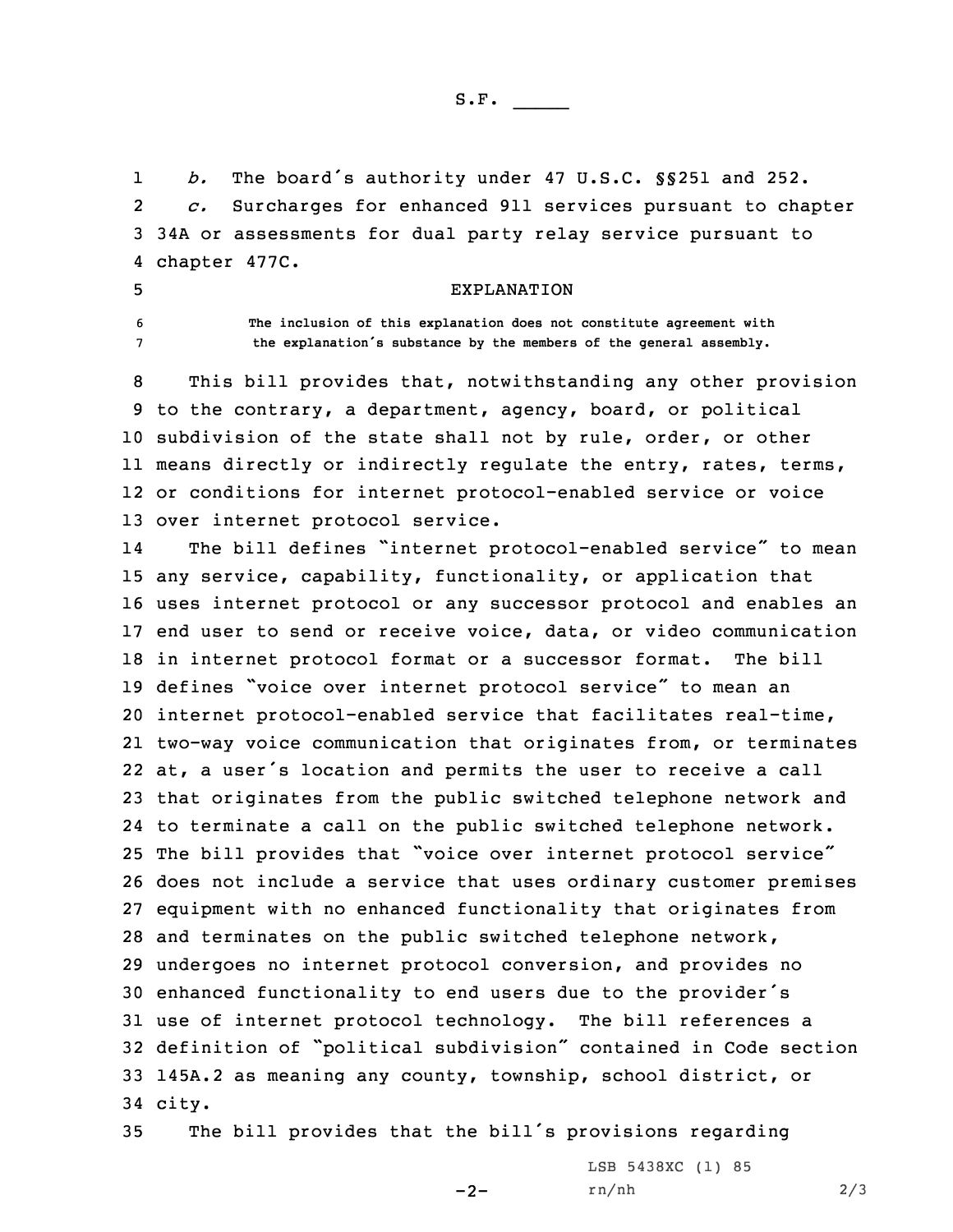S.F.  $\rule{1em}{0.15mm}$ 

1 *b.* The board's authority under 47 U.S.C. §§251 and 252. 2 *c.* Surcharges for enhanced 911 services pursuant to chapter 3 34A or assessments for dual party relay service pursuant to 4 chapter 477C.

## 5 EXPLANATION

6 **The inclusion of this explanation does not constitute agreement with** <sup>7</sup> **the explanation's substance by the members of the general assembly.**

 This bill provides that, notwithstanding any other provision to the contrary, <sup>a</sup> department, agency, board, or political subdivision of the state shall not by rule, order, or other means directly or indirectly regulate the entry, rates, terms, or conditions for internet protocol-enabled service or voice over internet protocol service.

14 The bill defines "internet protocol-enabled service" to mean any service, capability, functionality, or application that uses internet protocol or any successor protocol and enables an end user to send or receive voice, data, or video communication in internet protocol format or <sup>a</sup> successor format. The bill defines "voice over internet protocol service" to mean an internet protocol-enabled service that facilitates real-time, two-way voice communication that originates from, or terminates at, <sup>a</sup> user's location and permits the user to receive <sup>a</sup> call that originates from the public switched telephone network and to terminate <sup>a</sup> call on the public switched telephone network. The bill provides that "voice over internet protocol service" does not include <sup>a</sup> service that uses ordinary customer premises equipment with no enhanced functionality that originates from and terminates on the public switched telephone network, undergoes no internet protocol conversion, and provides no enhanced functionality to end users due to the provider's use of internet protocol technology. The bill references <sup>a</sup> definition of "political subdivision" contained in Code section 145A.2 as meaning any county, township, school district, or 34 city.

<sup>35</sup> The bill provides that the bill's provisions regarding

 $-2-$ 

LSB 5438XC (1) 85 rn/nh 2/3